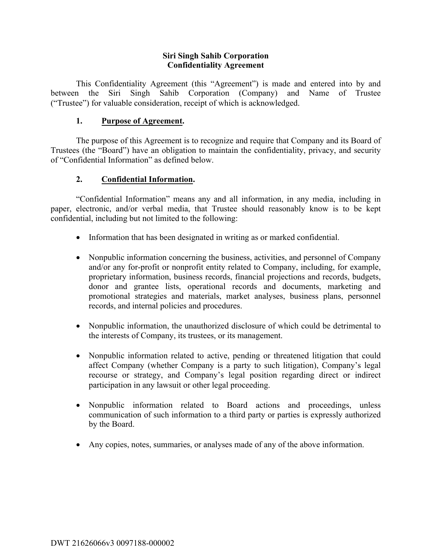#### **Siri Singh Sahib Corporation Confidentiality Agreement**

This Confidentiality Agreement (this "Agreement") is made and entered into by and between the Siri Singh Sahib Corporation (Company) and Name of Trustee ("Trustee") for valuable consideration, receipt of which is acknowledged.

### **1. Purpose of Agreement.**

The purpose of this Agreement is to recognize and require that Company and its Board of Trustees (the "Board") have an obligation to maintain the confidentiality, privacy, and security of "Confidential Information" as defined below.

## **2. Confidential Information.**

"Confidential Information" means any and all information, in any media, including in paper, electronic, and/or verbal media, that Trustee should reasonably know is to be kept confidential, including but not limited to the following:

- Information that has been designated in writing as or marked confidential.
- Nonpublic information concerning the business, activities, and personnel of Company and/or any for-profit or nonprofit entity related to Company, including, for example, proprietary information, business records, financial projections and records, budgets, donor and grantee lists, operational records and documents, marketing and promotional strategies and materials, market analyses, business plans, personnel records, and internal policies and procedures.
- Nonpublic information, the unauthorized disclosure of which could be detrimental to the interests of Company, its trustees, or its management.
- Nonpublic information related to active, pending or threatened litigation that could affect Company (whether Company is a party to such litigation), Company's legal recourse or strategy, and Company's legal position regarding direct or indirect participation in any lawsuit or other legal proceeding.
- Nonpublic information related to Board actions and proceedings, unless communication of such information to a third party or parties is expressly authorized by the Board.
- Any copies, notes, summaries, or analyses made of any of the above information.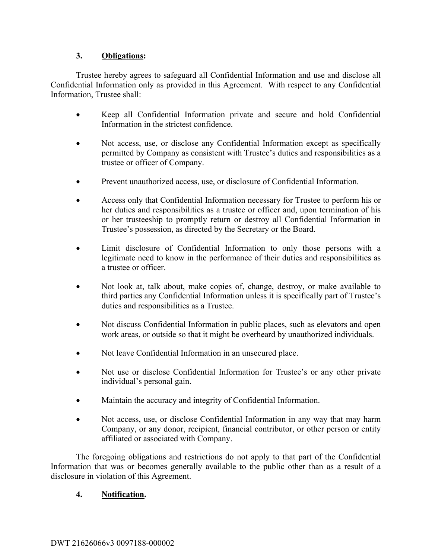## **3. Obligations:**

Trustee hereby agrees to safeguard all Confidential Information and use and disclose all Confidential Information only as provided in this Agreement. With respect to any Confidential Information, Trustee shall:

- Keep all Confidential Information private and secure and hold Confidential Information in the strictest confidence.
- Not access, use, or disclose any Confidential Information except as specifically permitted by Company as consistent with Trustee's duties and responsibilities as a trustee or officer of Company.
- Prevent unauthorized access, use, or disclosure of Confidential Information.
- Access only that Confidential Information necessary for Trustee to perform his or her duties and responsibilities as a trustee or officer and, upon termination of his or her trusteeship to promptly return or destroy all Confidential Information in Trustee's possession, as directed by the Secretary or the Board.
- Limit disclosure of Confidential Information to only those persons with a legitimate need to know in the performance of their duties and responsibilities as a trustee or officer.
- Not look at, talk about, make copies of, change, destroy, or make available to third parties any Confidential Information unless it is specifically part of Trustee's duties and responsibilities as a Trustee.
- Not discuss Confidential Information in public places, such as elevators and open work areas, or outside so that it might be overheard by unauthorized individuals.
- Not leave Confidential Information in an unsecured place.
- Not use or disclose Confidential Information for Trustee's or any other private individual's personal gain.
- Maintain the accuracy and integrity of Confidential Information.
- Not access, use, or disclose Confidential Information in any way that may harm Company, or any donor, recipient, financial contributor, or other person or entity affiliated or associated with Company.

The foregoing obligations and restrictions do not apply to that part of the Confidential Information that was or becomes generally available to the public other than as a result of a disclosure in violation of this Agreement.

### **4. Notification.**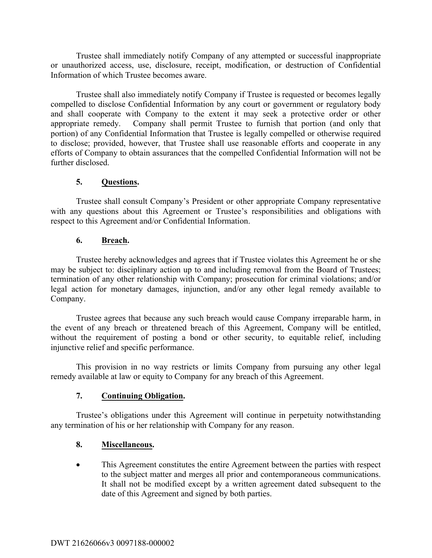Trustee shall immediately notify Company of any attempted or successful inappropriate or unauthorized access, use, disclosure, receipt, modification, or destruction of Confidential Information of which Trustee becomes aware.

Trustee shall also immediately notify Company if Trustee is requested or becomes legally compelled to disclose Confidential Information by any court or government or regulatory body and shall cooperate with Company to the extent it may seek a protective order or other appropriate remedy. Company shall permit Trustee to furnish that portion (and only that portion) of any Confidential Information that Trustee is legally compelled or otherwise required to disclose; provided, however, that Trustee shall use reasonable efforts and cooperate in any efforts of Company to obtain assurances that the compelled Confidential Information will not be further disclosed.

### **5. Questions.**

Trustee shall consult Company's President or other appropriate Company representative with any questions about this Agreement or Trustee's responsibilities and obligations with respect to this Agreement and/or Confidential Information.

## **6. Breach.**

Trustee hereby acknowledges and agrees that if Trustee violates this Agreement he or she may be subject to: disciplinary action up to and including removal from the Board of Trustees; termination of any other relationship with Company; prosecution for criminal violations; and/or legal action for monetary damages, injunction, and/or any other legal remedy available to Company.

Trustee agrees that because any such breach would cause Company irreparable harm, in the event of any breach or threatened breach of this Agreement, Company will be entitled, without the requirement of posting a bond or other security, to equitable relief, including injunctive relief and specific performance.

This provision in no way restricts or limits Company from pursuing any other legal remedy available at law or equity to Company for any breach of this Agreement.

### **7. Continuing Obligation.**

Trustee's obligations under this Agreement will continue in perpetuity notwithstanding any termination of his or her relationship with Company for any reason.

# **8. Miscellaneous.**

This Agreement constitutes the entire Agreement between the parties with respect to the subject matter and merges all prior and contemporaneous communications. It shall not be modified except by a written agreement dated subsequent to the date of this Agreement and signed by both parties.